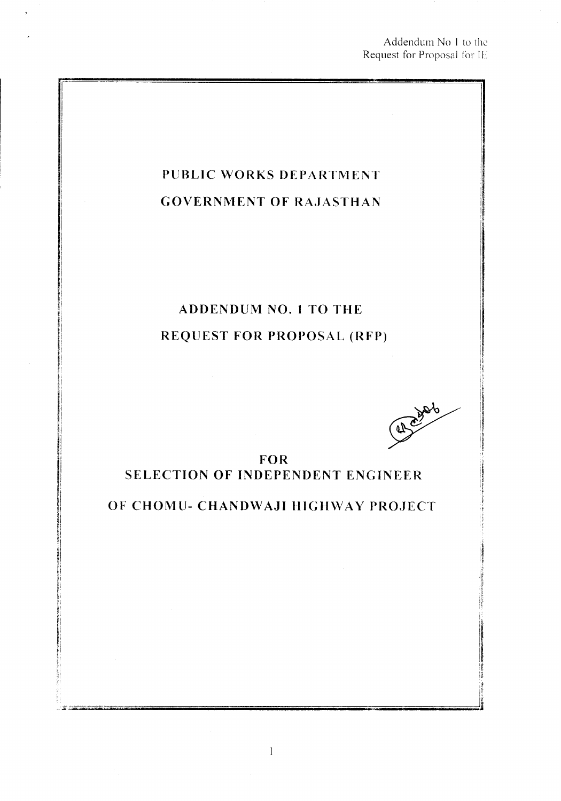Addendum No 1 to the Request for Proposal for IL

# **PUBLIC WORKS DEPARTMENT GOVERNMENT OF RAJASTHAN**

# **ADDENDUM NO.1 TO THE REQUEST FOR PROPOSAL (RFP)**

410006

i<br>III<br>I

i. u ,I If i~

**FOR SELECTION OF INDEPENDENT ENGINEER**

**OF CHOMU- CHANDWAJI HIGH\VAY PROJECT**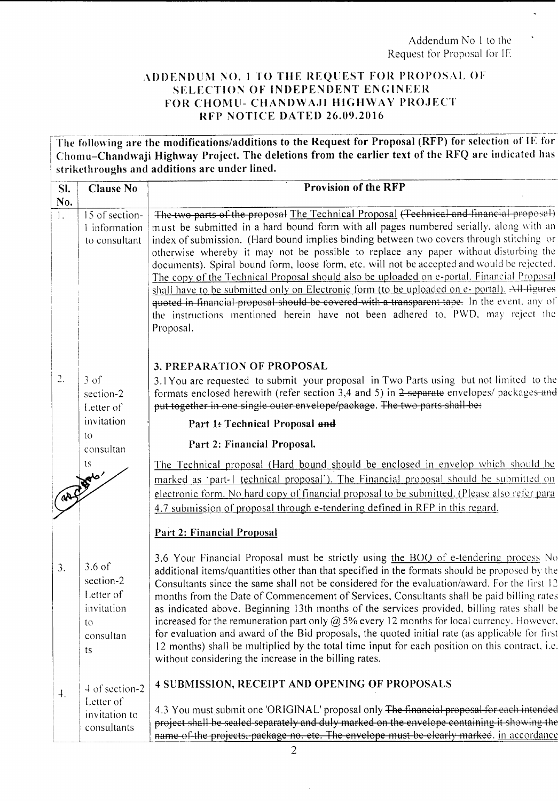Addendum No 1 to the Request for Proposal for IE  $\overline{a}$ 

#### ADDENDUM NO. 1 TO THE REQUEST FOR PROPOSAL OF SELECTION OF INDEPENDENT ENGINEER FOR CHOMU- CHANDWAJI HIGHWAY PROJECT RFP NOTICE DATED 26.09.2016

The following are the modifications/additions to the Request for Proposal (RFP) for selection of IE for Chomu-Chandwaji Highway Project. The deletions from the earlier text of the RFQ are indicated has strikethroughs and additions are under lined.

| SI.<br>No.       | <b>Clause No</b>                                                          | <b>Provision of the RFP</b>                                                                                                                                                                                                                                                                                                                                                                                                                                                                                                                                                                                                                                                                                                                                                                                                                                         |
|------------------|---------------------------------------------------------------------------|---------------------------------------------------------------------------------------------------------------------------------------------------------------------------------------------------------------------------------------------------------------------------------------------------------------------------------------------------------------------------------------------------------------------------------------------------------------------------------------------------------------------------------------------------------------------------------------------------------------------------------------------------------------------------------------------------------------------------------------------------------------------------------------------------------------------------------------------------------------------|
| $\mathbf{L}$     | 15 of section-<br>1 information<br>to consultant                          | The two parts of the proposal The Technical Proposal (Technical and financial proposal)<br>must be submitted in a hard bound form with all pages numbered serially, along with an<br>index of submission. (Hard bound implies binding between two covers through stitching or<br>otherwise whereby it may not be possible to replace any paper without disturbing the<br>documents). Spiral bound form, loose form, etc. will not be accepted and would be rejected.<br>The copy of the Technical Proposal should also be uploaded on e-portal. Financial Proposal<br>shall have to be submitted only on Electronic form (to be uploaded on e- portal). All ligures<br>quoted in financial proposal should be covered with a transparent tape. In the event, any of<br>the instructions mentioned herein have not been adhered to, PWD, may reject the<br>Proposal. |
| 2.               | $3 \text{ of}$<br>section-2<br>Letter of                                  | <b>3. PREPARATION OF PROPOSAL</b><br>3.1You are requested to submit your proposal in Two Parts using but not limited to the<br>formats enclosed herewith (refer section 3,4 and 5) in 2 separate envelopes/ packages and<br>put together in one single outer envelope/package. The two parts shall be:                                                                                                                                                                                                                                                                                                                                                                                                                                                                                                                                                              |
|                  | invitation                                                                | Part 1: Technical Proposal and                                                                                                                                                                                                                                                                                                                                                                                                                                                                                                                                                                                                                                                                                                                                                                                                                                      |
|                  | to<br>consultan                                                           | Part 2: Financial Proposal.                                                                                                                                                                                                                                                                                                                                                                                                                                                                                                                                                                                                                                                                                                                                                                                                                                         |
|                  | ts.                                                                       | The Technical proposal (Hard bound should be enclosed in envelop which should be<br>marked as 'part-1 technical proposal'). The Financial proposal should be submitted on<br>electronic form. No hard copy of financial proposal to be submitted. (Please also refer para<br>4.7 submission of proposal through e-tendering defined in RFP in this regard.                                                                                                                                                                                                                                                                                                                                                                                                                                                                                                          |
|                  |                                                                           | Part 2: Financial Proposal                                                                                                                                                                                                                                                                                                                                                                                                                                                                                                                                                                                                                                                                                                                                                                                                                                          |
| 3.               | $3.6$ of<br>section-2<br>Letter of<br>invitation<br>to<br>consultan<br>ts | 3.6 Your Financial Proposal must be strictly using the BOQ of e-tendering process No<br>additional items/quantities other than that specified in the formats should be proposed by the<br>Consultants since the same shall not be considered for the evaluation/award. For the first 12<br>months from the Date of Commencement of Services, Consultants shall be paid billing rates<br>as indicated above. Beginning 13th months of the services provided, billing rates shall be<br>increased for the remuneration part only $\omega$ 5% every 12 months for local currency. However,<br>for evaluation and award of the Bid proposals, the quoted initial rate (as applicable for first<br>12 months) shall be multiplied by the total time input for each position on this contract, i.e.<br>without considering the increase in the billing rates.             |
| $\overline{4}$ . | 4 of section-2                                                            | 4 SUBMISSION, RECEIPT AND OPENING OF PROPOSALS                                                                                                                                                                                                                                                                                                                                                                                                                                                                                                                                                                                                                                                                                                                                                                                                                      |
|                  | Letter of<br>invitation to<br>consultants                                 | 4.3 You must submit one 'ORIGINAL' proposal only The financial proposal for each intended<br>project shall be sealed separately and duly marked on the envelope containing it showing the<br>name of the projects, package no. etc. The envelope must be clearly marked. in accordance                                                                                                                                                                                                                                                                                                                                                                                                                                                                                                                                                                              |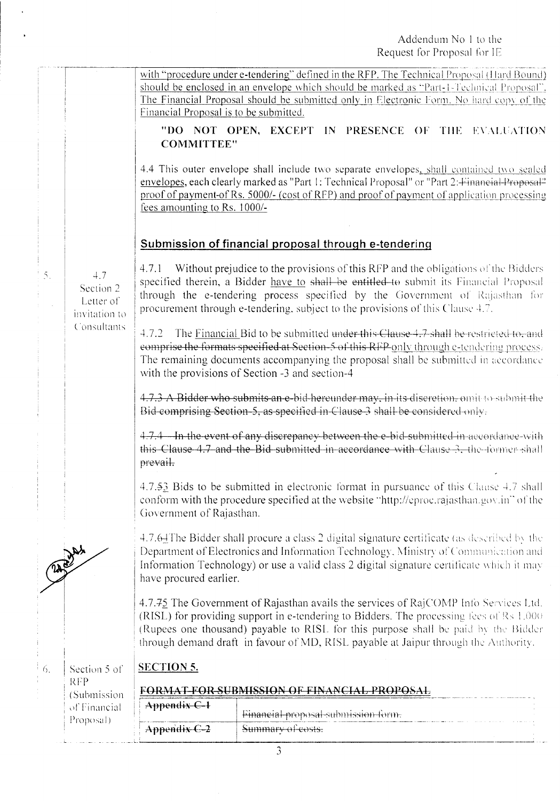with "procedure under e-tendering" defined in the RFP. The Technical Proposal (Hard Bound) should be enclosed in an envelope which should be marked as "Part-1-Technical Proposal". The Financial Proposal should be submitted only in Electronic Form. No hard copy of the Financial Proposal is to be submitted.

"DO NOT OPEN, EXCEPT IN PRESENCE OF THE EVALUATION **COMMITTEE"** 

4.4 This outer envelope shall include two separate envelopes, shall contained two sealed envelopes, each clearly marked as "Part 1: Technical Proposal" or "Part 2: Financial Proposal" proof of payment-of Rs. 5000/- (cost of RFP) and proof of payment of application processing fees amounting to Rs. 1000/-

### Submission of financial proposal through e-tendering

 $4.7$ Section 2 Letter of invitation to Consultants

 $\tilde{\gamma}$ 

 $4.7.1$ Without prejudice to the provisions of this RFP and the obligations of the Bidders specified therein, a Bidder have to shall be entitled to submit its Financial Proposal through the e-tendering process specified by the Government of Rajasthan for procurement through e-tendering, subject to the provisions of this Clause 4.7.

4.7.2 The Financial Bid to be submitted under this Clause 4.7 shall be restricted to, and comprise the formats specified at Section-5 of this RFP only through e-tendering process. The remaining documents accompanying the proposal shall be submitted in accordance with the provisions of Section -3 and section-4

4.7.3 A Bidder who submits an e-bid-hereunder may, in-its-discretion, omit to submit the Bid-comprising Section-5, as specified in-Clause-3 shall be considered only.

4.7.4 In the event of any discrepancy between the e-bid-submitted in accordance with this Clause 4.7 and the Bid submitted in accordance with Clause 3, the former shall prevail.

4.7.53 Bids to be submitted in electronic format in pursuance of this Clause 4.7 shall conform with the procedure specified at the website "http://eproc.rajasthan.gov.in" of the Government of Rajasthan.

4.7.64 The Bidder shall procure a class 2 digital signature certificate (as described by the Department of Electronics and Information Technology, Ministry of Communication and Information Technology) or use a valid class 2 digital signature certificate which it may have procured earlier.

4.7.75 The Government of Rajasthan avails the services of RajCOMP Info Services Ltd. (RISL) for providing support in e-tendering to Bidders. The processing fees of Rs 1,000 (Rupees one thousand) payable to RISL for this purpose shall be paid by the Bidder through demand draft in favour of MD, RISL payable at Jaipur through the Authority.

6. Section 5 of **RFP** (Submission of Financial Proposal)

### **SECTION 5.**

# FORMAT-FOR SUBMISSION OF FINANCIAL PROPOSAL

| Appendix C-1       |                                                          |
|--------------------|----------------------------------------------------------|
| $\pm$ Appendix C-2 | Financial proposal submission form.<br>Summary of costs. |
|                    |                                                          |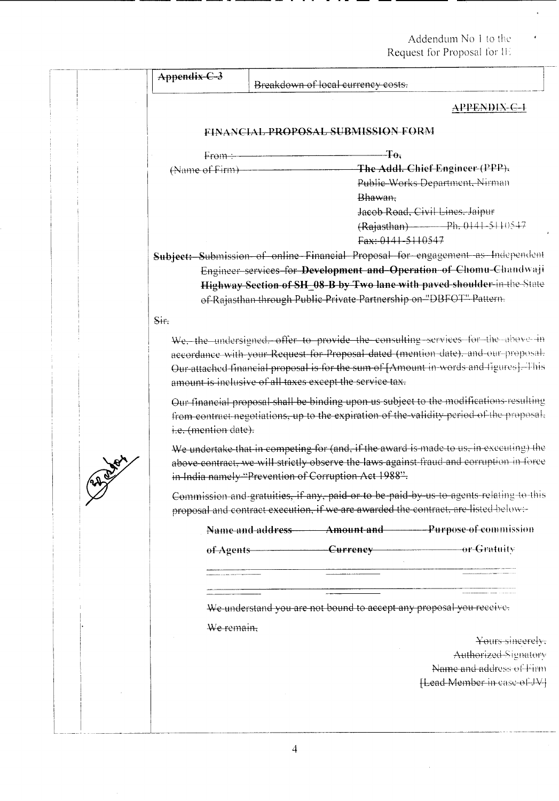l.

| Appendix-C-3         | Breakdown of local currency costs.                                  |                              |                                                                                                                                                                                                                                                              |
|----------------------|---------------------------------------------------------------------|------------------------------|--------------------------------------------------------------------------------------------------------------------------------------------------------------------------------------------------------------------------------------------------------------|
|                      |                                                                     |                              | APPENDIX-C-1                                                                                                                                                                                                                                                 |
|                      | FINANCIAL PROPOSAL SUBMISSION FORM                                  |                              |                                                                                                                                                                                                                                                              |
| $F$ rom $-$          |                                                                     | $-\Gamma$ o,                 |                                                                                                                                                                                                                                                              |
| (Name of Firm)       |                                                                     | Bhawan,<br>Fax: 0141-5110547 | The Addl. Chief Engineer (PPP),<br>Public-Works Department, Nirman<br>Jacob Road, Civil Lines. Jaipur<br>$(Rajasthan)$ Ph. 0141-5110547                                                                                                                      |
|                      |                                                                     |                              | Subject: Submission of online Financial Proposal for engagement as Independent                                                                                                                                                                               |
|                      | of-Rajasthan through Public Private Partnership on "DBFOT" Pattern. |                              | Engineer services for Development and Operation of Chomu-Chandwaji<br>Highway Section of SH_08-B by Two lane with paved shoulder in the State                                                                                                                |
| Sit.                 |                                                                     |                              |                                                                                                                                                                                                                                                              |
|                      | amount is inclusive of all taxes except the service tax.            |                              | We, the undersigned, offer to provide the consulting services for the above in<br>accordance with your Request for Proposal dated (mention date), and our proposal.<br>Our attached financial proposal is for the sum of [Amount in words and figures]. This |
|                      |                                                                     |                              |                                                                                                                                                                                                                                                              |
| i.e. (mention date). |                                                                     |                              | Our financial proposal shall be binding upon us subject to the modifications-resulting<br>from contract negotiations, up to the expiration of the validity period of the proposal.                                                                           |
|                      | in India namely "Prevention of Corruption Act 1988".                |                              | We undertake that in competing for (and, if the award is made to us, in executing) the<br>above contract, we will strictly observe the laws against fraud and corruption in force                                                                            |
|                      |                                                                     |                              | Commission and gratuities, if any, paid or to be paid by us to agents relating to this<br>proposal and contract execution, if we are awarded the contract, are listed below.                                                                                 |
|                      |                                                                     |                              | Name and address <b>Amount and Purpose of commission</b>                                                                                                                                                                                                     |
| of Agents            |                                                                     |                              | Currency or Gratuity                                                                                                                                                                                                                                         |
|                      |                                                                     |                              |                                                                                                                                                                                                                                                              |
|                      |                                                                     |                              | We understand you are not bound to accept any proposal you receive.                                                                                                                                                                                          |
| We remain,           |                                                                     |                              |                                                                                                                                                                                                                                                              |
|                      |                                                                     |                              | Yours sincerely.                                                                                                                                                                                                                                             |
|                      |                                                                     |                              | Authorized-Signatory<br>Name and address of Firm                                                                                                                                                                                                             |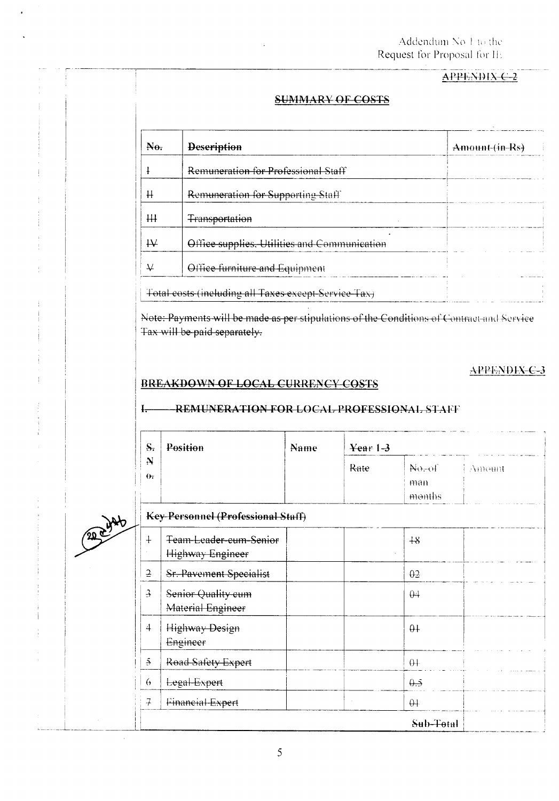### APPENDIX C-2

#### **SUMMARY OF COSTS**

| Remuneration for Professional Staff          |                                                      |
|----------------------------------------------|------------------------------------------------------|
|                                              |                                                      |
| Remuneration for Supporting Staff            |                                                      |
| <b>Transportation</b>                        |                                                      |
| Office supplies, Utilities and Communication |                                                      |
| Office furniture and Equipment               |                                                      |
|                                              | Total costs (including all Taxes except-Service Tax) |

Note: Payments will be made as per stipulations of the Conditions of Contract and Service Tax will be paid separately.

#### APPENDIX-C-3

#### BREAKDOWN OF LOCAL CURRENCY COSTS

 $\mathbf{I}$ .

#### **REMUNERATION FOR LOCAL PROFESSIONAL STAFF**

| S.                       | Position                                   | Name | Year $1-3$ |                                      |        |
|--------------------------|--------------------------------------------|------|------------|--------------------------------------|--------|
| $\mathbf{N}$<br>$\theta$ |                                            |      | Rate       | $N_{\theta-\theta}$<br>man<br>months | Атнони |
|                          | Key-Personnel (Professional Staff)         |      |            |                                      |        |
| $\ddagger$               | Team-Leader-cum-Senior<br>Highway Engineer |      |            | $+8$                                 |        |
| $\overline{2}$           | Sr. Pavement Specialist                    |      |            | $\theta$ <sup>2</sup>                |        |
| $\overline{\mathcal{F}}$ | Senior Quality cum<br>Material Engineer    |      |            | $\theta$ 4                           |        |
| 4                        | <b>Highway Design</b><br>Engineer          |      |            | $\theta$ +                           |        |
| $\mathfrak{S}$           | Road Safety Expert                         |      |            | $\theta +$                           |        |
| $\theta$                 | Legal-Expert                               |      |            | $\theta \rightarrow$                 |        |
| $\overline{f}$           | Financial-Expert                           |      |            | $\theta +$                           |        |
|                          |                                            |      |            | Sub-Total                            |        |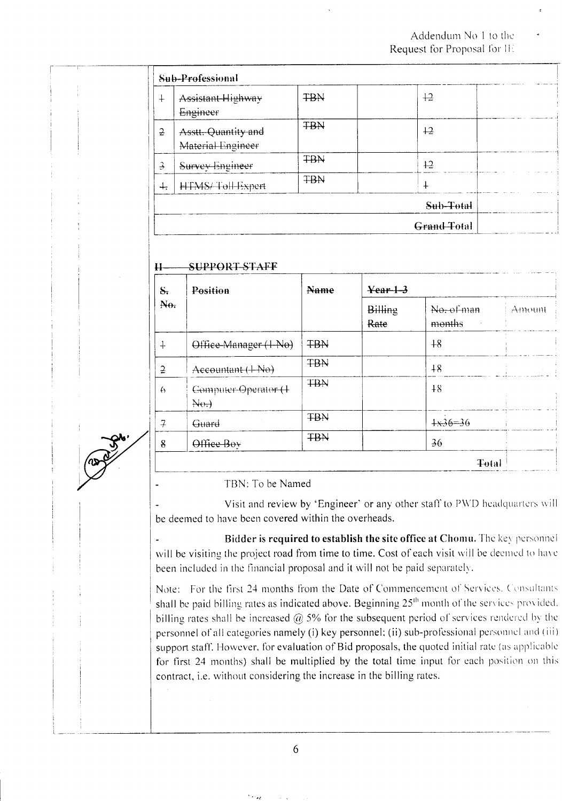|                          | Sub-Professional                         |            |             |  |
|--------------------------|------------------------------------------|------------|-------------|--|
| $\ddot{+}$               | Assistant-Highway<br>Engineer            | <b>TBN</b> | $+2$        |  |
| $\overline{2}$           | Asstt. Quantity and<br>Material Engineer | <b>TBN</b> | $+2$        |  |
| $\overline{\mathcal{A}}$ | Survey Engineer                          | <b>TBN</b> | $+2$        |  |
| 4.                       | HTMS/Toll-Expert                         | <b>TBN</b> | $\ddag$     |  |
|                          |                                          |            | Sub-Total   |  |
|                          |                                          |            | Grand-Total |  |

#### SUPPORT-STAFF  $H$

| $S_{\tau}$        | Position                            |            |                        |                                   |        |
|-------------------|-------------------------------------|------------|------------------------|-----------------------------------|--------|
| A <sub>0</sub>    |                                     |            | <b>Billing</b><br>Rate | No. of man<br>months<br>$\sim 10$ | Amount |
| $\ddagger$        | Office-Manager (1-No)               | <b>TBN</b> |                        | $+8$                              |        |
| $\overline{2}$    | Accountant (+No)                    | <b>TBN</b> |                        | ×.<br>$+8$                        |        |
| $\leftrightarrow$ | Computer-Operator (+<br>$A\Theta$ . | <b>TBN</b> |                        | $+8$                              |        |
| $\overline{A}$    | Guard                               | <b>TBN</b> |                        | $+x36=36$                         |        |
| 8                 | Office Boy                          | <b>TBN</b> |                        | 36                                |        |
|                   |                                     |            |                        | <b>Total</b>                      |        |

#### TBN: To be Named

Visit and review by 'Engineer' or any other staff to PWD headquarters will be deemed to have been covered within the overheads.

Bidder is required to establish the site office at Chomu. The key personnel will be visiting the project road from time to time. Cost of each visit will be deemed to have been included in the financial proposal and it will not be paid separately.

Note: For the first 24 months from the Date of Commencement of Services. Consultants shall be paid billing rates as indicated above. Beginning 25<sup>th</sup> month of the services provided. billing rates shall be increased  $\omega$  5% for the subsequent period of services rendered by the personnel of all categories namely (i) key personnel; (ii) sub-professional personnel and (iii) support staff. However, for evaluation of Bid proposals, the quoted initial rate (as applicable for first 24 months) shall be multiplied by the total time input for each position on this contract, i.e. without considering the increase in the billing rates.

6

ن<br>پرس<sup>ال</sup>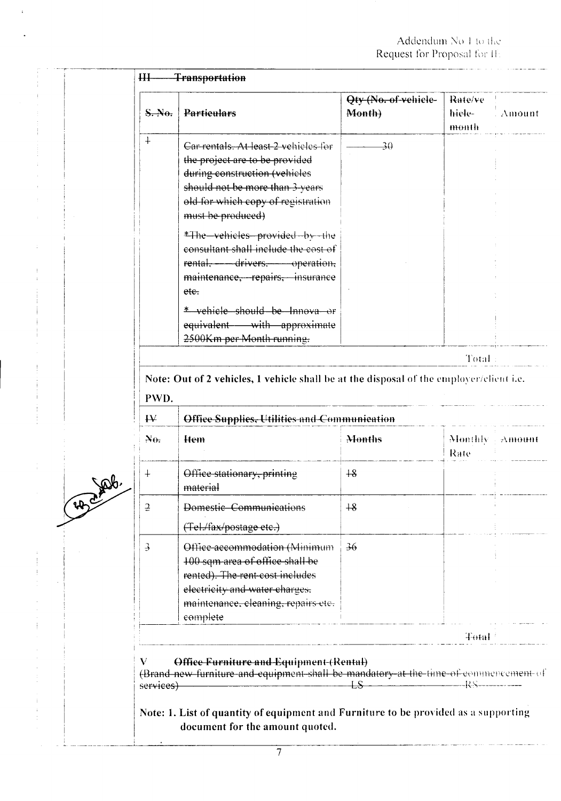| S.N.                         | <b>Particulars</b>                                                                                                                                                                                                                                                                                                                                                                                                           | Qty (No. of vehicle-<br>Month) | Rate/ve<br>hiele-<br>month | : Amount           |
|------------------------------|------------------------------------------------------------------------------------------------------------------------------------------------------------------------------------------------------------------------------------------------------------------------------------------------------------------------------------------------------------------------------------------------------------------------------|--------------------------------|----------------------------|--------------------|
| $+$                          | Car rentals. At least 2 vehicles for<br>the project are to be provided<br>during construction (vehicles<br>should not be more than 3-years<br>old for which copy of registration<br>must be produced)<br>*The vehicles provided by the<br>consultant shall include the cost of<br>rental, - drivers, operation,<br>maintenance, repairs, insurance<br>ete.<br>* vehicle should be Innova or<br>equivalent - with approximate | -30                            |                            |                    |
|                              | 2500Km per Month running.                                                                                                                                                                                                                                                                                                                                                                                                    |                                |                            |                    |
|                              |                                                                                                                                                                                                                                                                                                                                                                                                                              |                                | Total:                     |                    |
| PWD.                         | Note: Out of 2 vehicles, 1 vehicle shall be at the disposal of the employer/client i.e.                                                                                                                                                                                                                                                                                                                                      |                                |                            |                    |
| $\mathsf{H}$<br>$A_{\theta}$ | Office Supplies, Utilities and Communication<br>Hem                                                                                                                                                                                                                                                                                                                                                                          | Months                         | Monthly -<br>Rate          |                    |
| $\ddagger$                   | Office stationary, printing<br>material                                                                                                                                                                                                                                                                                                                                                                                      | $+8$                           |                            |                    |
| $\mathfrak 2$                | Domestic Communications<br>(Tel./fax/postage etc.)                                                                                                                                                                                                                                                                                                                                                                           | $+8$                           |                            |                    |
| $\overline{\mathcal{F}}$     | Office accommodation (Minimum<br>100 sqm area of office shall be<br>rented). The rent-cost includes<br>electricity and water charges.<br>maintenance, cleaning, repairs etc.<br>eomplete                                                                                                                                                                                                                                     | 36                             |                            | $\pm\lambda$ mount |
|                              |                                                                                                                                                                                                                                                                                                                                                                                                                              |                                | Total <sup>3</sup>         |                    |

 $\mathbf{r}$ 

٩Ą

 $\begin{array}{c} \begin{array}{c} \begin{array}{c} \begin{array}{c} \end{array} \\ \end{array} \\ \begin{array}{c} \end{array} \end{array} \end{array} \end{array}$ 

 $\frac{1}{2}$  $\frac{1}{2}$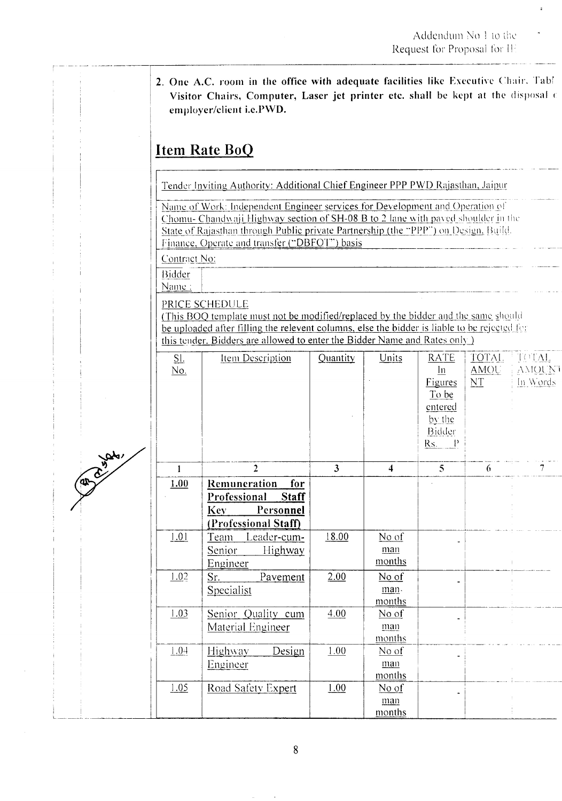2. One A.C. room in the office with adequate facilities like Executive Chair. Tabl Visitor Chairs, Computer, Laser jet printer etc. shall be kept at the disposal of employer/client i.e.PWD.

# **Item Rate BoQ**

Tender Inviting Authority: Additional Chief Engineer PPP PWD Rajasthan, Jaipur

Name of Work: Independent Engineer services for Development and Operation of Chomu-Chandwaji Highway section of SH-08 B to 2 lane with paved shoulder in the State of Rajasthan through Public private Partnership (the "PPP") on Design, Build. Finance, Operate and transfer ("DBFOT") basis

Contract No:

Bidder Name:

PRICE SCHEDULE

(This BOQ template must not be modified/replaced by the bidder and the same should be uploaded after filling the relevent columns, else the bidder is liable to be rejected for this tender. Bidders are allowed to enter the Bidder Name and Rates only )

| Sl.<br><u>No.</u> | Item Description                                                                                              | Quantity                | Units                     | <b>RATE</b><br>$\ln$<br><b>Figures</b><br>To be<br>entered<br>by the<br>Bidder<br>$Rs.$ $P$ |   | TOTAL TOTAL<br>AMOU AMOUNT<br>$NT$ In Words |
|-------------------|---------------------------------------------------------------------------------------------------------------|-------------------------|---------------------------|---------------------------------------------------------------------------------------------|---|---------------------------------------------|
| $\mathbf{1}$      | $\overline{2}$                                                                                                | $\overline{\mathbf{3}}$ | $\overline{\mathbf{4}}$   | 5 <sup>1</sup>                                                                              | 6 |                                             |
| 1.00              | <b>Remuneration</b><br>for<br>Professional<br><b>Staff</b><br><b>Key</b><br>Personnel<br>(Professional Staff) |                         |                           |                                                                                             |   |                                             |
| 1.01              | Team Leader-cum-<br>Highway<br>Senior<br>Engineer                                                             | 18.00                   | No of<br>man<br>months    |                                                                                             |   |                                             |
| 1.02              | Sr.<br>Pavement<br>Specialist                                                                                 | 2.00                    | $No$ of<br>man.<br>months |                                                                                             |   |                                             |
| 1.03              | Senior Quality cum<br>Material Engineer                                                                       | 4.00                    | No of<br>man<br>months    |                                                                                             |   |                                             |
| 1.04              | Design<br>Highway<br>Engineer                                                                                 | 1.00                    | No of<br>man<br>months    |                                                                                             |   |                                             |
| 1.05              | Road Safety Expert                                                                                            | 1.00                    | No of<br>man<br>months    |                                                                                             |   |                                             |



8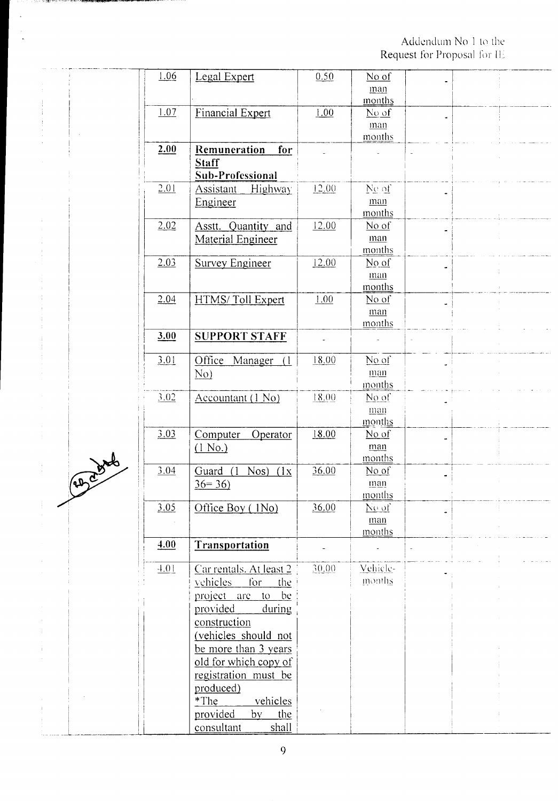|   | 1.06 | Legal Expert                      | 0.50  | $No$ of                  |  |  |
|---|------|-----------------------------------|-------|--------------------------|--|--|
|   |      |                                   |       | man                      |  |  |
|   |      |                                   |       | months                   |  |  |
|   | 1.07 | <b>Financial Expert</b>           | 1.00  | No of                    |  |  |
|   |      |                                   |       | man                      |  |  |
|   |      |                                   |       | months                   |  |  |
|   |      |                                   |       |                          |  |  |
|   | 2.00 | Remuneration<br>for               |       |                          |  |  |
|   |      | <b>Staff</b>                      |       |                          |  |  |
|   |      | Sub-Professional                  |       |                          |  |  |
|   | 2.01 | Highway<br><u>Assistant</u>       | 12.00 | No of                    |  |  |
|   |      | Engineer                          |       | man                      |  |  |
|   |      |                                   |       | months                   |  |  |
|   | 2.02 | Asstt. Quantity and               | 12.00 | No of                    |  |  |
|   |      | <b>Material Engineer</b>          |       | man                      |  |  |
|   |      |                                   |       | months                   |  |  |
|   | 2.03 | <b>Survey Engineer</b>            | 12.00 | No of                    |  |  |
|   |      |                                   |       |                          |  |  |
|   |      |                                   |       | man                      |  |  |
|   |      |                                   |       | months                   |  |  |
|   | 2.04 | HTMS/Toll Expert                  | 1.00  | No of                    |  |  |
|   |      |                                   |       | man                      |  |  |
|   |      |                                   |       | months                   |  |  |
|   | 3.00 | <b>SUPPORT STAFF</b>              |       |                          |  |  |
|   |      |                                   |       |                          |  |  |
|   | 3.01 | Office Manager (1)                | 18.00 | No of                    |  |  |
|   |      | No)                               |       | man                      |  |  |
|   |      |                                   |       | months                   |  |  |
|   | 3.02 | Accountant (1 No)                 | 18.00 | No of                    |  |  |
|   |      |                                   |       | man                      |  |  |
|   |      |                                   |       | months                   |  |  |
|   | 3.03 | Computer<br>Operator              | 18.00 | $No$ of                  |  |  |
|   |      | $(1$ No.)                         |       | man                      |  |  |
| L |      |                                   |       | months                   |  |  |
|   | 3.04 | Guard (1<br>$Nos$ )<br>(1x)       | 36.00 | $No$ of                  |  |  |
|   |      | $36 = 36$                         |       | $\underline{\text{man}}$ |  |  |
|   |      |                                   |       | months                   |  |  |
|   |      |                                   | 36.00 |                          |  |  |
|   | 3.05 | Office Boy (1No)                  |       | No of                    |  |  |
|   |      |                                   |       | man                      |  |  |
|   |      |                                   |       | months                   |  |  |
|   | 4.00 | Transportation                    |       |                          |  |  |
|   | 1.01 | Car rentals. At least 2           | 30.00 | Vehicle-                 |  |  |
|   |      |                                   |       | months                   |  |  |
|   |      | vehicles<br>for<br>the            |       |                          |  |  |
|   |      | <u>be</u><br>project are<br>$t_0$ |       |                          |  |  |
|   |      | provided<br>during                |       |                          |  |  |
|   |      | construction                      |       |                          |  |  |
|   |      | (vehicles should not              |       |                          |  |  |
|   |      | be more than 3 years              |       |                          |  |  |
|   |      | old for which copy of             |       |                          |  |  |
|   |      |                                   |       |                          |  |  |
|   |      | registration must be              |       |                          |  |  |
|   |      | produced)                         |       |                          |  |  |
|   |      | vehicles<br>*The                  |       |                          |  |  |
|   |      | provided<br>the<br>by             |       |                          |  |  |
|   |      | shall<br>consultant               |       |                          |  |  |

http://www.augh.augh.org/university/and

 $\begin{array}{c} \begin{array}{c} \text{if }\\ \text{if }\\ \text{if }\\ \end{array} \end{array}$ 

 $\hat{\boldsymbol{\beta}}$ 

Ĵ,

 $\mathbf{P}^{\mathcal{C}}$ 

 $\sim$ 

 $\begin{array}{c} \begin{array}{c} \begin{array}{c} \begin{array}{c} \end{array} \\ \begin{array}{c} \end{array} \\ \begin{array}{c} \end{array} \end{array} \end{array} \end{array}$ 

 $\ddot{\phantom{0}}$ 

 $\frac{1}{2}$ 

 $\ddot{\phantom{a}}$